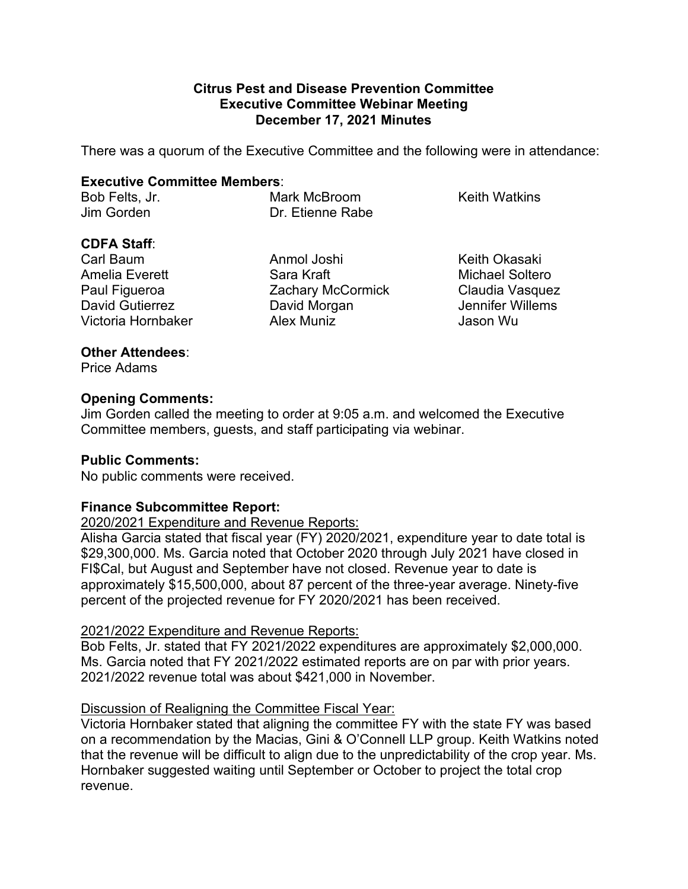#### **Citrus Pest and Disease Prevention Committee Executive Committee Webinar Meeting December 17, 2021 Minutes**

There was a quorum of the Executive Committee and the following were in attendance:

### **Executive Committee Members**:

Bob Felts, Jr. **Mark McBroom** Keith Watkins Jim Gorden Dr. Etienne Rabe

# **CDFA Staff**:

Paul Figueroa David Gutierrez Victoria Hornbaker

Anmol Joshi Keith Okasaki Amelia Everett **Sara Kraft** Michael Soltero Zachary McCormick David Morgan Alex Muniz

Claudia Vasquez Jennifer Willems Jason Wu

# **Other Attendees**:

Price Adams

# **Opening Comments:**

 Jim Gorden called the meeting to order at 9:05 a.m. and welcomed the Executive Committee members, guests, and staff participating via webinar.

# **Public Comments:**

No public comments were received.

# **Finance Subcommittee Report:**

2020/2021 Expenditure and Revenue Reports:

 Alisha Garcia stated that fiscal year (FY) 2020/2021, expenditure year to date total is \$29,300,000. Ms. Garcia noted that October 2020 through July 2021 have closed in approximately \$15,500,000, about 87 percent of the three-year average. Ninety-five FI\$Cal, but August and September have not closed. Revenue year to date is percent of the projected revenue for FY 2020/2021 has been received.

#### 2021/2022 Expenditure and Revenue Reports:

 2021/2022 revenue total was about \$421,000 in November. Bob Felts, Jr. stated that FY 2021/2022 expenditures are approximately \$2,000,000. Ms. Garcia noted that FY 2021/2022 estimated reports are on par with prior years.

# Discussion of Realigning the Committee Fiscal Year:

 Victoria Hornbaker stated that aligning the committee FY with the state FY was based on a recommendation by the Macias, Gini & O'Connell LLP group. Keith Watkins noted that the revenue will be difficult to align due to the unpredictability of the crop year. Ms. Hornbaker suggested waiting until September or October to project the total crop revenue.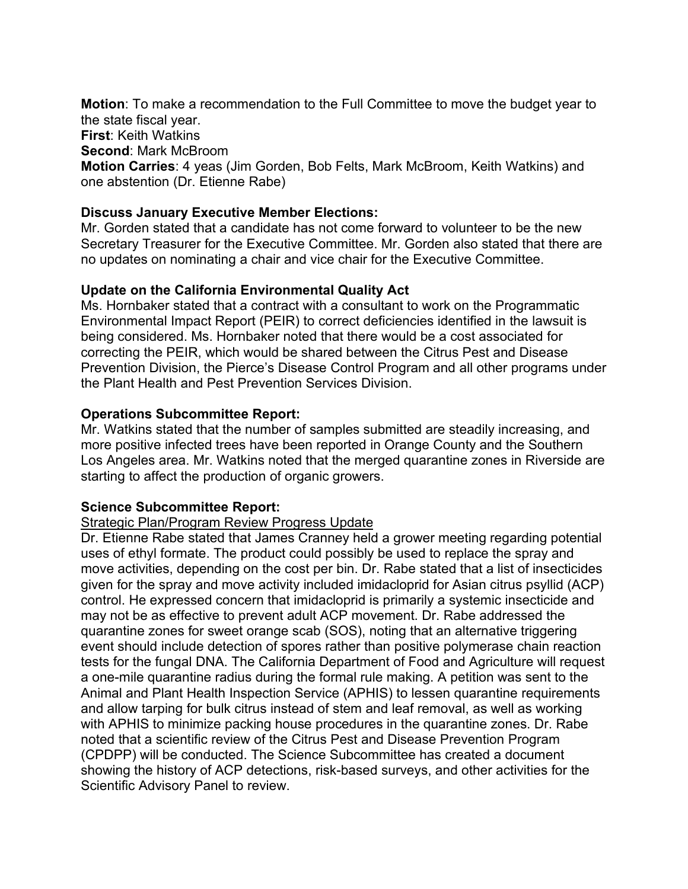**Motion**: To make a recommendation to the Full Committee to move the budget year to the state fiscal year. **First**: Keith Watkins **Second**: Mark McBroom **Motion Carries**: 4 yeas (Jim Gorden, Bob Felts, Mark McBroom, Keith Watkins) and one abstention (Dr. Etienne Rabe)

#### **Discuss January Executive Member Elections:**

 Mr. Gorden stated that a candidate has not come forward to volunteer to be the new Secretary Treasurer for the Executive Committee. Mr. Gorden also stated that there are no updates on nominating a chair and vice chair for the Executive Committee.

## **Update on the California Environmental Quality Act**

 Ms. Hornbaker stated that a contract with a consultant to work on the Programmatic being considered. Ms. Hornbaker noted that there would be a cost associated for the Plant Health and Pest Prevention Services Division. Environmental Impact Report (PEIR) to correct deficiencies identified in the lawsuit is correcting the PEIR, which would be shared between the Citrus Pest and Disease Prevention Division, the Pierce's Disease Control Program and all other programs under

## **Operations Subcommittee Report:**

Mr. Watkins stated that the number of samples submitted are steadily increasing, and more positive infected trees have been reported in Orange County and the Southern Los Angeles area. Mr. Watkins noted that the merged quarantine zones in Riverside are starting to affect the production of organic growers.

# **Science Subcommittee Report:**

#### Strategic Plan/Program Review Progress Update

 Dr. Etienne Rabe stated that James Cranney held a grower meeting regarding potential control. He expressed concern that imidacloprid is primarily a systemic insecticide and may not be as effective to prevent adult ACP movement. Dr. Rabe addressed the tests for the fungal DNA. The California Department of Food and Agriculture will request and allow tarping for bulk citrus instead of stem and leaf removal, as well as working uses of ethyl formate. The product could possibly be used to replace the spray and move activities, depending on the cost per bin. Dr. Rabe stated that a list of insecticides given for the spray and move activity included imidacloprid for Asian citrus psyllid (ACP) quarantine zones for sweet orange scab (SOS), noting that an alternative triggering event should include detection of spores rather than positive polymerase chain reaction a one-mile quarantine radius during the formal rule making. A petition was sent to the Animal and Plant Health Inspection Service (APHIS) to lessen quarantine requirements with APHIS to minimize packing house procedures in the quarantine zones. Dr. Rabe noted that a scientific review of the Citrus Pest and Disease Prevention Program (CPDPP) will be conducted. The Science Subcommittee has created a document showing the history of ACP detections, risk-based surveys, and other activities for the Scientific Advisory Panel to review.